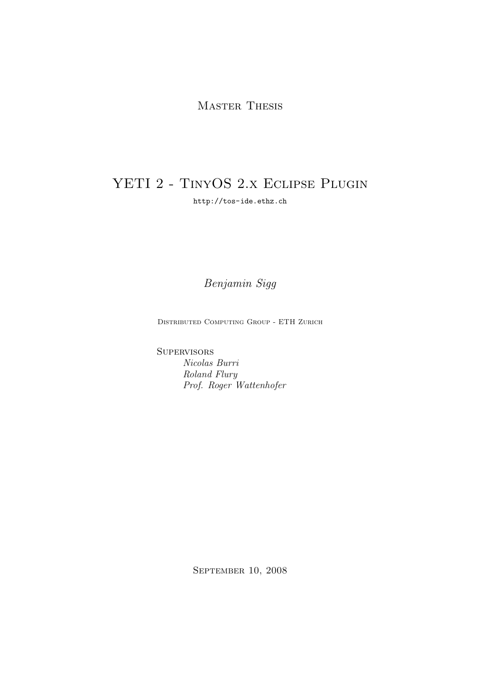# MASTER THESIS

# YETI 2 - TINYOS 2.X ECLIPSE PLUGIN

http://tos-ide.ethz.ch

Benjamin Sigg

Distributed Computing Group - ETH Zurich

**SUPERVISORS** Nicolas Burri Roland Flury Prof. Roger Wattenhofer

September 10, 2008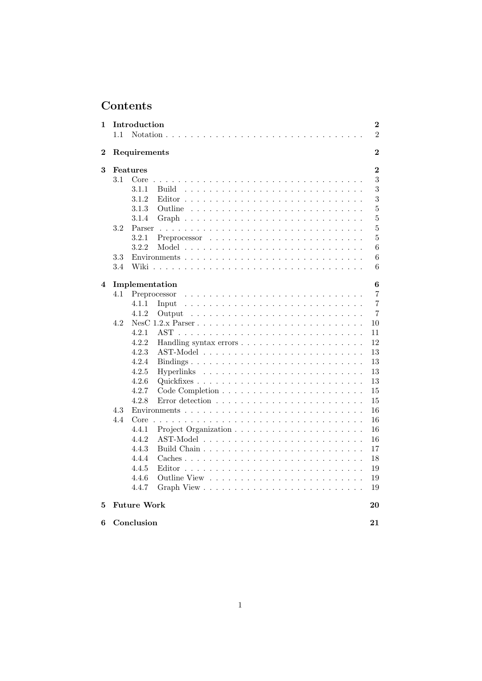# Contents

| 1        |     | Introduction                                                                                                          | 2              |
|----------|-----|-----------------------------------------------------------------------------------------------------------------------|----------------|
|          | 1.1 |                                                                                                                       | $\overline{2}$ |
| $\bf{2}$ |     | Requirements                                                                                                          | $\overline{2}$ |
| 3        |     | Features                                                                                                              | $\bf{2}$       |
|          | 3.1 | Core<br>and the company of the                                                                                        | 3              |
|          |     | 3.1.1<br>Build                                                                                                        | 3              |
|          |     | 3.1.2                                                                                                                 | 3              |
|          |     | 3.1.3<br>Outline                                                                                                      | $\overline{5}$ |
|          |     | 3.1.4                                                                                                                 | $\overline{5}$ |
|          | 3.2 | Parser                                                                                                                | $\overline{5}$ |
|          |     | 3.2.1                                                                                                                 | $\overline{5}$ |
|          |     | 3.2.2                                                                                                                 | 6              |
|          | 3.3 |                                                                                                                       | 6              |
|          | 3.4 | Wiki                                                                                                                  | 6              |
| 4        |     | Implementation                                                                                                        | 6              |
|          | 4.1 | Preprocessor                                                                                                          | 7              |
|          |     | 4.1.1<br>Input                                                                                                        | 7              |
|          |     | 4.1.2<br>Output                                                                                                       | 7              |
|          | 4.2 |                                                                                                                       | 10             |
|          |     | 4.2.1                                                                                                                 | 11             |
|          |     | 4.2.2                                                                                                                 | 12             |
|          |     | 4.2.3                                                                                                                 | 13             |
|          |     | 4.2.4                                                                                                                 | 13             |
|          |     | 4.2.5                                                                                                                 | 13             |
|          |     | 4.2.6                                                                                                                 | 13             |
|          |     | 4.2.7                                                                                                                 | 15             |
|          |     | 4.2.8<br>Error detection $\ldots \ldots \ldots \ldots \ldots \ldots \ldots$                                           | 15             |
|          | 4.3 |                                                                                                                       | 16             |
|          | 4.4 | Core<br>a constitution de la constitution de la constitution de la constitution de la constitution de la constitution | 16             |
|          |     | 4.4.1                                                                                                                 | 16             |
|          |     | 4.4.2                                                                                                                 | 16             |
|          |     | 4.4.3                                                                                                                 | 17             |
|          |     | 4.4.4                                                                                                                 | 18             |
|          |     | 4.4.5                                                                                                                 | 19             |
|          |     | 4.4.6                                                                                                                 | 19             |
|          |     | 4.4.7                                                                                                                 | 19             |
| 5        |     | <b>Future Work</b>                                                                                                    | 20             |
| 6        |     | Conclusion                                                                                                            | 21             |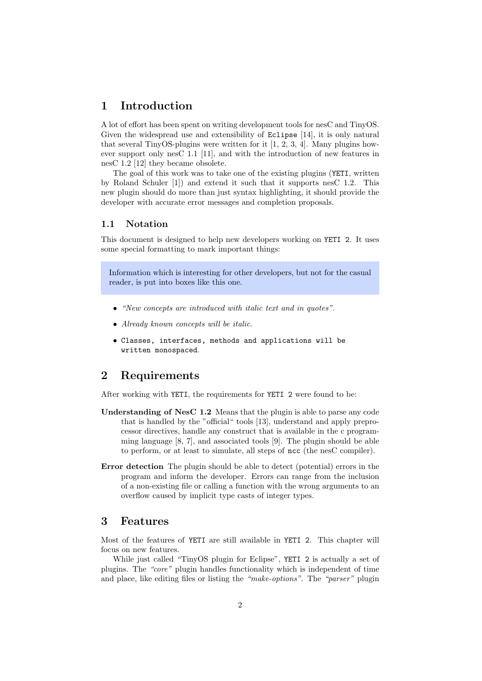# 1 Introduction

A lot of effort has been spent on writing development tools for nesC and TinyOS. Given the widespread use and extensibility of Eclipse [14], it is only natural that several TinyOS-plugins were written for it  $[1, 2, 3, 4]$ . Many plugins however support only nesC 1.1 [11], and with the introduction of new features in nesC 1.2 [12] they became obsolete.

The goal of this work was to take one of the existing plugins (YETI, written by Roland Schuler [1]) and extend it such that it supports nesC 1.2. This new plugin should do more than just syntax highlighting, it should provide the developer with accurate error messages and completion proposals.

## 1.1 Notation

This document is designed to help new developers working on YETI 2. It uses some special formatting to mark important things:

Information which is interesting for other developers, but not for the casual reader, is put into boxes like this one.

- "New concepts are introduced with italic text and in quotes".
- Already known concepts will be italic.
- Classes, interfaces, methods and applications will be written monospaced.

# 2 Requirements

After working with YETI, the requirements for YETI 2 were found to be:

- Understanding of NesC 1.2 Means that the plugin is able to parse any code that is handled by the "official" tools [13], understand and apply preprocessor directives, handle any construct that is available in the c programming language [8, 7], and associated tools [9]. The plugin should be able to perform, or at least to simulate, all steps of ncc (the nesC compiler).
- Error detection The plugin should be able to detect (potential) errors in the program and inform the developer. Errors can range from the inclusion of a non-existing file or calling a function with the wrong arguments to an overflow caused by implicit type casts of integer types.

# 3 Features

Most of the features of YETI are still available in YETI 2. This chapter will focus on new features.

While just called "TinyOS plugin for Eclipse", YETI 2 is actually a set of plugins. The "core" plugin handles functionality which is independent of time and place, like editing files or listing the "make-options". The "parser" plugin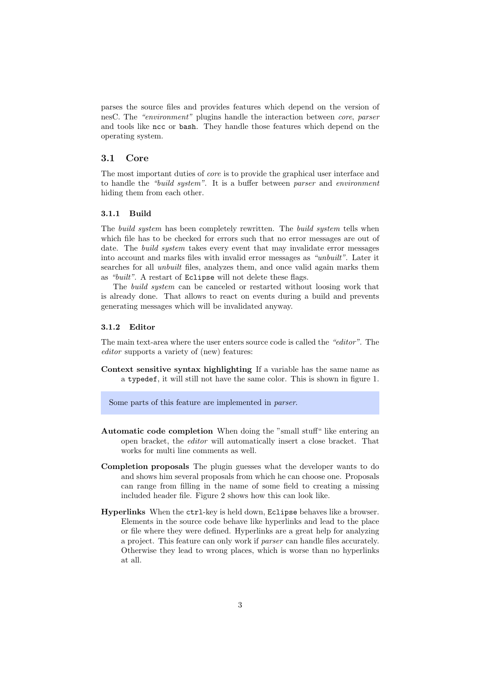parses the source files and provides features which depend on the version of nesC. The "environment" plugins handle the interaction between core, parser and tools like ncc or bash. They handle those features which depend on the operating system.

## 3.1 Core

The most important duties of core is to provide the graphical user interface and to handle the "build system". It is a buffer between parser and environment hiding them from each other.

#### 3.1.1 Build

The *build system* has been completely rewritten. The *build system* tells when which file has to be checked for errors such that no error messages are out of date. The build system takes every event that may invalidate error messages into account and marks files with invalid error messages as "unbuilt". Later it searches for all unbuilt files, analyzes them, and once valid again marks them as "built". A restart of Eclipse will not delete these flags.

The build system can be canceled or restarted without loosing work that is already done. That allows to react on events during a build and prevents generating messages which will be invalidated anyway.

#### 3.1.2 Editor

The main text-area where the user enters source code is called the "editor". The editor supports a variety of (new) features:

Context sensitive syntax highlighting If a variable has the same name as a typedef, it will still not have the same color. This is shown in figure 1.

Some parts of this feature are implemented in parser.

- Automatic code completion When doing the "small stuff" like entering an open bracket, the editor will automatically insert a close bracket. That works for multi line comments as well.
- Completion proposals The plugin guesses what the developer wants to do and shows him several proposals from which he can choose one. Proposals can range from filling in the name of some field to creating a missing included header file. Figure 2 shows how this can look like.
- Hyperlinks When the ctrl-key is held down, Eclipse behaves like a browser. Elements in the source code behave like hyperlinks and lead to the place or file where they were defined. Hyperlinks are a great help for analyzing a project. This feature can only work if parser can handle files accurately. Otherwise they lead to wrong places, which is worse than no hyperlinks at all.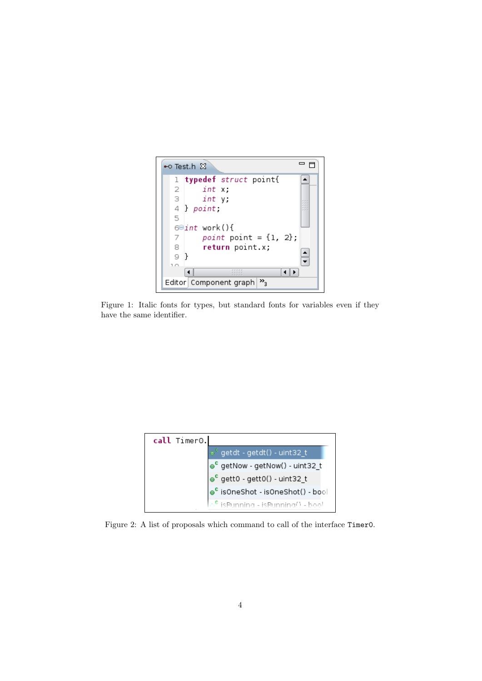

Figure 1: Italic fonts for types, but standard fonts for variables even if they have the same identifier.



Figure 2: A list of proposals which command to call of the interface Timer0.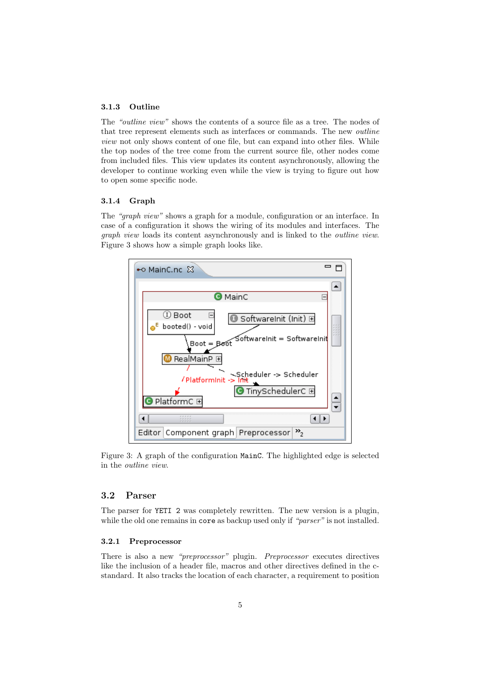#### 3.1.3 Outline

The "outline view" shows the contents of a source file as a tree. The nodes of that tree represent elements such as interfaces or commands. The new outline view not only shows content of one file, but can expand into other files. While the top nodes of the tree come from the current source file, other nodes come from included files. This view updates its content asynchronously, allowing the developer to continue working even while the view is trying to figure out how to open some specific node.

#### 3.1.4 Graph

The "graph view" shows a graph for a module, configuration or an interface. In case of a configuration it shows the wiring of its modules and interfaces. The graph view loads its content asynchronously and is linked to the outline view. Figure 3 shows how a simple graph looks like.



Figure 3: A graph of the configuration MainC. The highlighted edge is selected in the outline view.

## 3.2 Parser

The parser for YETI 2 was completely rewritten. The new version is a plugin, while the old one remains in core as backup used only if "parser" is not installed.

#### 3.2.1 Preprocessor

There is also a new "preprocessor" plugin. Preprocessor executes directives like the inclusion of a header file, macros and other directives defined in the cstandard. It also tracks the location of each character, a requirement to position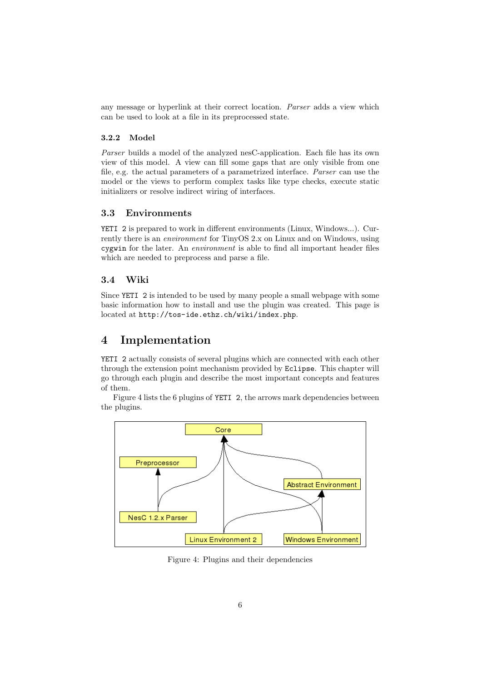any message or hyperlink at their correct location. Parser adds a view which can be used to look at a file in its preprocessed state.

## 3.2.2 Model

Parser builds a model of the analyzed nesC-application. Each file has its own view of this model. A view can fill some gaps that are only visible from one file, e.g. the actual parameters of a parametrized interface. Parser can use the model or the views to perform complex tasks like type checks, execute static initializers or resolve indirect wiring of interfaces.

## 3.3 Environments

YETI 2 is prepared to work in different environments (Linux, Windows...). Currently there is an environment for TinyOS 2.x on Linux and on Windows, using cygwin for the later. An environment is able to find all important header files which are needed to preprocess and parse a file.

## 3.4 Wiki

Since YETI 2 is intended to be used by many people a small webpage with some basic information how to install and use the plugin was created. This page is located at http://tos-ide.ethz.ch/wiki/index.php.

# 4 Implementation

YETI 2 actually consists of several plugins which are connected with each other through the extension point mechanism provided by Eclipse. This chapter will go through each plugin and describe the most important concepts and features of them.

Figure 4 lists the 6 plugins of YETI 2, the arrows mark dependencies between the plugins.



Figure 4: Plugins and their dependencies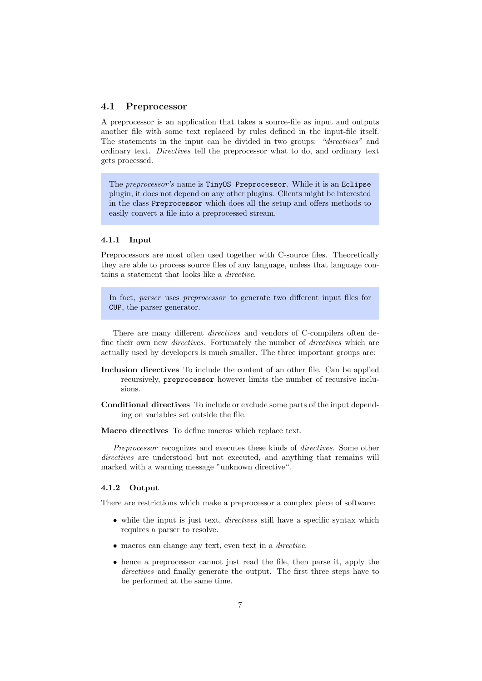#### 4.1 Preprocessor

A preprocessor is an application that takes a source-file as input and outputs another file with some text replaced by rules defined in the input-file itself. The statements in the input can be divided in two groups: "directives" and ordinary text. Directives tell the preprocessor what to do, and ordinary text gets processed.

The preprocessor's name is TinyOS Preprocessor. While it is an Eclipse plugin, it does not depend on any other plugins. Clients might be interested in the class Preprocessor which does all the setup and offers methods to easily convert a file into a preprocessed stream.

#### 4.1.1 Input

Preprocessors are most often used together with C-source files. Theoretically they are able to process source files of any language, unless that language contains a statement that looks like a directive.

In fact, *parser* uses *preprocessor* to generate two different input files for CUP, the parser generator.

There are many different directives and vendors of C-compilers often define their own new *directives*. Fortunately the number of *directives* which are actually used by developers is much smaller. The three important groups are:

- Inclusion directives To include the content of an other file. Can be applied recursively, preprocessor however limits the number of recursive inclusions.
- Conditional directives To include or exclude some parts of the input depending on variables set outside the file.
- Macro directives To define macros which replace text.

Preprocessor recognizes and executes these kinds of *directives*. Some other directives are understood but not executed, and anything that remains will marked with a warning message "unknown directive".

#### 4.1.2 Output

There are restrictions which make a preprocessor a complex piece of software:

- while the input is just text, *directives* still have a specific syntax which requires a parser to resolve.
- macros can change any text, even text in a *directive*.
- hence a preprocessor cannot just read the file, then parse it, apply the directives and finally generate the output. The first three steps have to be performed at the same time.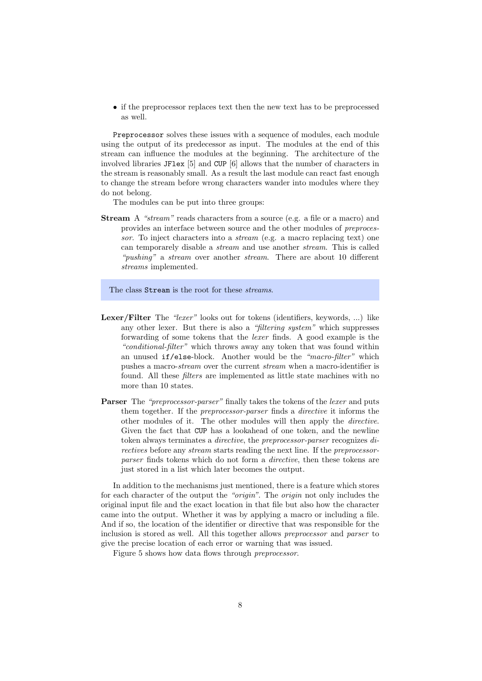• if the preprocessor replaces text then the new text has to be preprocessed as well.

Preprocessor solves these issues with a sequence of modules, each module using the output of its predecessor as input. The modules at the end of this stream can influence the modules at the beginning. The architecture of the involved libraries JFlex [5] and CUP [6] allows that the number of characters in the stream is reasonably small. As a result the last module can react fast enough to change the stream before wrong characters wander into modules where they do not belong.

The modules can be put into three groups:

Stream A "stream" reads characters from a source (e.g. a file or a macro) and provides an interface between source and the other modules of preprocessor. To inject characters into a stream (e.g. a macro replacing text) one can temporarely disable a stream and use another stream. This is called "*pushing*" a *stream* over another *stream*. There are about 10 different streams implemented.

The class Stream is the root for these *streams*.

- Lexer/Filter The "lexer" looks out for tokens (identifiers, keywords, ...) like any other lexer. But there is also a "filtering system" which suppresses forwarding of some tokens that the lexer finds. A good example is the "conditional-filter" which throws away any token that was found within an unused if/else-block. Another would be the "macro-filter" which pushes a macro-stream over the current stream when a macro-identifier is found. All these filters are implemented as little state machines with no more than 10 states.
- Parser The "preprocessor-parser" finally takes the tokens of the lexer and puts them together. If the preprocessor-parser finds a directive it informs the other modules of it. The other modules will then apply the directive. Given the fact that CUP has a lookahead of one token, and the newline token always terminates a directive, the preprocessor-parser recognizes directives before any stream starts reading the next line. If the preprocessorparser finds tokens which do not form a *directive*, then these tokens are just stored in a list which later becomes the output.

In addition to the mechanisms just mentioned, there is a feature which stores for each character of the output the "origin". The origin not only includes the original input file and the exact location in that file but also how the character came into the output. Whether it was by applying a macro or including a file. And if so, the location of the identifier or directive that was responsible for the inclusion is stored as well. All this together allows preprocessor and parser to give the precise location of each error or warning that was issued.

Figure 5 shows how data flows through preprocessor.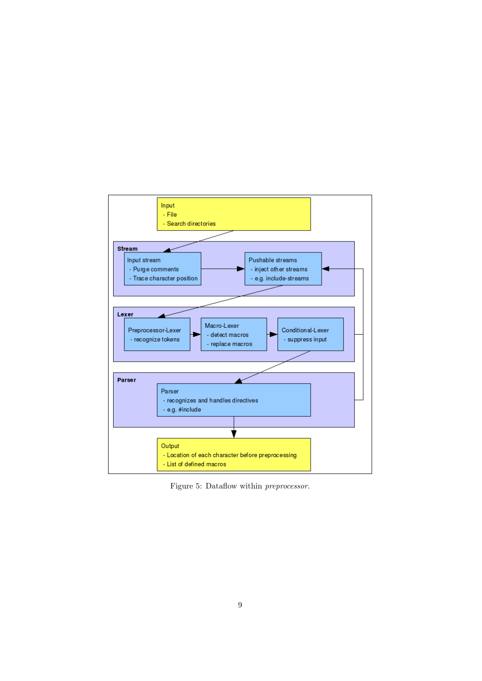

Figure 5: Dataflow within preprocessor.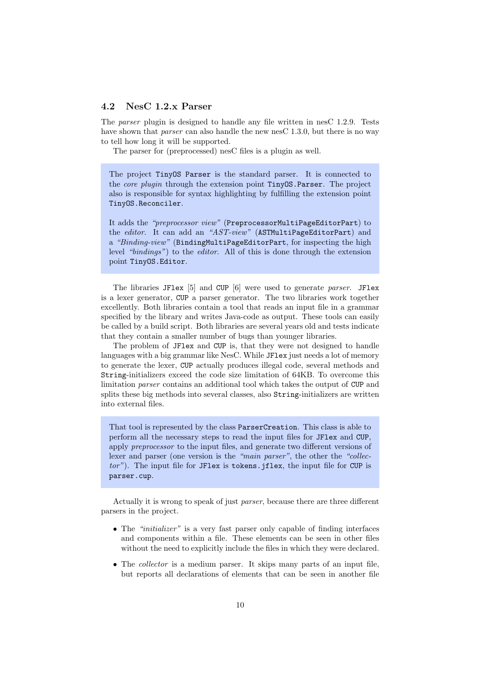## 4.2 NesC 1.2.x Parser

The parser plugin is designed to handle any file written in nesC 1.2.9. Tests have shown that *parser* can also handle the new nesC 1.3.0, but there is no way to tell how long it will be supported.

The parser for (preprocessed) nesC files is a plugin as well.

The project TinyOS Parser is the standard parser. It is connected to the core plugin through the extension point TinyOS.Parser. The project also is responsible for syntax highlighting by fulfilling the extension point TinyOS.Reconciler.

It adds the "preprocessor view" (PreprocessorMultiPageEditorPart) to the editor. It can add an "AST-view" (ASTMultiPageEditorPart) and a "Binding-view" (BindingMultiPageEditorPart, for inspecting the high level "bindings") to the editor. All of this is done through the extension point TinyOS.Editor.

The libraries JFlex [5] and CUP [6] were used to generate parser. JFlex is a lexer generator, CUP a parser generator. The two libraries work together excellently. Both libraries contain a tool that reads an input file in a grammar specified by the library and writes Java-code as output. These tools can easily be called by a build script. Both libraries are several years old and tests indicate that they contain a smaller number of bugs than younger libraries.

The problem of JFlex and CUP is, that they were not designed to handle languages with a big grammar like NesC. While JF1ex just needs a lot of memory to generate the lexer, CUP actually produces illegal code, several methods and String-initializers exceed the code size limitation of 64KB. To overcome this limitation parser contains an additional tool which takes the output of CUP and splits these big methods into several classes, also String-initializers are written into external files.

That tool is represented by the class ParserCreation. This class is able to perform all the necessary steps to read the input files for JFlex and CUP, apply preprocessor to the input files, and generate two different versions of lexer and parser (one version is the "main parser", the other the "collector"). The input file for JF1ex is tokens.jflex, the input file for CUP is parser.cup.

Actually it is wrong to speak of just parser, because there are three different parsers in the project.

- The "*initializer*" is a very fast parser only capable of finding interfaces and components within a file. These elements can be seen in other files without the need to explicitly include the files in which they were declared.
- The *collector* is a medium parser. It skips many parts of an input file, but reports all declarations of elements that can be seen in another file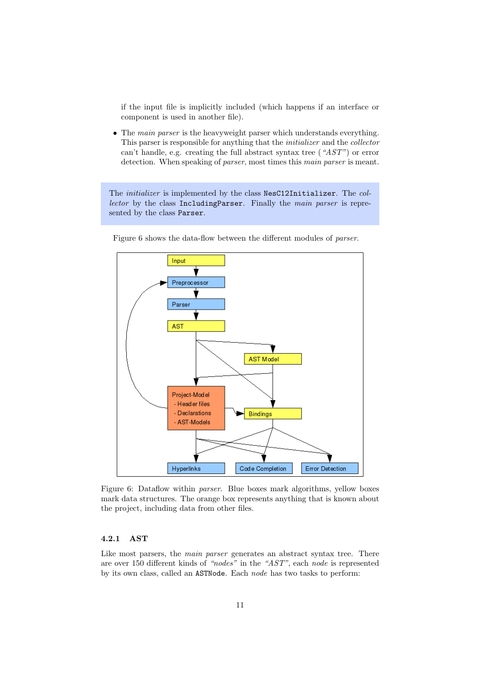if the input file is implicitly included (which happens if an interface or component is used in another file).

• The *main parser* is the heavyweight parser which understands everything. This parser is responsible for anything that the initializer and the collector can't handle, e.g. creating the full abstract syntax tree ( $AST$ ") or error detection. When speaking of parser, most times this main parser is meant.

The *initializer* is implemented by the class NesC12Initializer. The collector by the class IncludingParser. Finally the main parser is represented by the class Parser.



Figure 6 shows the data-flow between the different modules of parser.

Figure 6: Dataflow within parser. Blue boxes mark algorithms, yellow boxes mark data structures. The orange box represents anything that is known about the project, including data from other files.

# 4.2.1 AST

Like most parsers, the *main parser* generates an abstract syntax tree. There are over 150 different kinds of "nodes" in the "AST", each node is represented by its own class, called an ASTNode. Each node has two tasks to perform: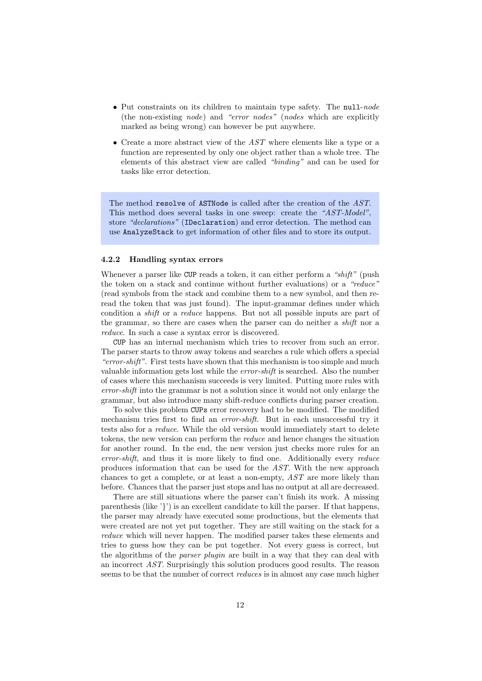- Put constraints on its children to maintain type safety. The null-node (the non-existing node) and "error nodes" (nodes which are explicitly marked as being wrong) can however be put anywhere.
- Create a more abstract view of the  $AST$  where elements like a type or a function are represented by only one object rather than a whole tree. The elements of this abstract view are called "binding" and can be used for tasks like error detection.

The method resolve of ASTNode is called after the creation of the AST. This method does several tasks in one sweep: create the "AST-Model", store "declarations" (IDeclaration) and error detection. The method can use AnalyzeStack to get information of other files and to store its output.

#### 4.2.2 Handling syntax errors

Whenever a parser like CUP reads a token, it can either perform a "shift" (push the token on a stack and continue without further evaluations) or a "reduce" (read symbols from the stack and combine them to a new symbol, and then reread the token that was just found). The input-grammar defines under which condition a shift or a reduce happens. But not all possible inputs are part of the grammar, so there are cases when the parser can do neither a *shift* nor a reduce. In such a case a syntax error is discovered.

CUP has an internal mechanism which tries to recover from such an error. The parser starts to throw away tokens and searches a rule which offers a special "error-shift". First tests have shown that this mechanism is too simple and much valuable information gets lost while the error-shift is searched. Also the number of cases where this mechanism succeeds is very limited. Putting more rules with error-shift into the grammar is not a solution since it would not only enlarge the grammar, but also introduce many shift-reduce conflicts during parser creation.

To solve this problem CUPs error recovery had to be modified. The modified mechanism tries first to find an error-shift. But in each unsuccessful try it tests also for a reduce. While the old version would immediately start to delete tokens, the new version can perform the reduce and hence changes the situation for another round. In the end, the new version just checks more rules for an error-shift, and thus it is more likely to find one. Additionally every reduce produces information that can be used for the AST. With the new approach chances to get a complete, or at least a non-empty, AST are more likely than before. Chances that the parser just stops and has no output at all are decreased.

There are still situations where the parser can't finish its work. A missing parenthesis (like '}') is an excellent candidate to kill the parser. If that happens, the parser may already have executed some productions, but the elements that were created are not yet put together. They are still waiting on the stack for a reduce which will never happen. The modified parser takes these elements and tries to guess how they can be put together. Not every guess is correct, but the algorithms of the parser plugin are built in a way that they can deal with an incorrect AST. Surprisingly this solution produces good results. The reason seems to be that the number of correct *reduces* is in almost any case much higher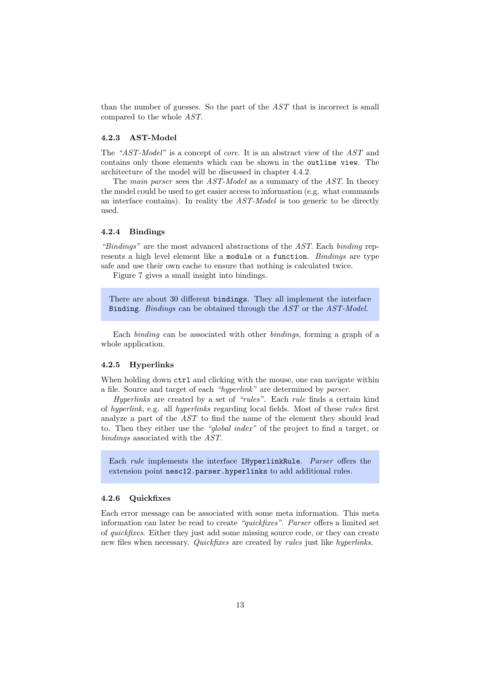than the number of guesses. So the part of the AST that is incorrect is small compared to the whole AST.

#### 4.2.3 AST-Model

The "AST-Model" is a concept of core. It is an abstract view of the AST and contains only those elements which can be shown in the outline view. The architecture of the model will be discussed in chapter 4.4.2.

The main parser sees the AST-Model as a summary of the AST. In theory the model could be used to get easier access to information (e.g. what commands an interface contains). In reality the  $AST-Model$  is too generic to be directly used.

#### 4.2.4 Bindings

"Bindings" are the most advanced abstractions of the AST. Each binding represents a high level element like a module or a function. Bindings are type safe and use their own cache to ensure that nothing is calculated twice.

Figure 7 gives a small insight into bindings.

There are about 30 different bindings. They all implement the interface Binding. Bindings can be obtained through the AST or the AST-Model.

Each binding can be associated with other bindings, forming a graph of a whole application.

#### 4.2.5 Hyperlinks

When holding down  $\text{ctrl}$  and clicking with the mouse, one can navigate within a file. Source and target of each "hyperlink" are determined by parser.

Hyperlinks are created by a set of "rules". Each rule finds a certain kind of hyperlink, e.g. all hyperlinks regarding local fields. Most of these rules first analyze a part of the AST to find the name of the element they should lead to. Then they either use the "global index" of the project to find a target, or bindings associated with the AST.

Each rule implements the interface IHyperlinkRule. Parser offers the extension point nesc12.parser.hyperlinks to add additional rules.

#### 4.2.6 Quickfixes

Each error message can be associated with some meta information. This meta information can later be read to create "quickfixes". Parser offers a limited set of quickfixes. Either they just add some missing source code, or they can create new files when necessary. Quickfixes are created by rules just like hyperlinks.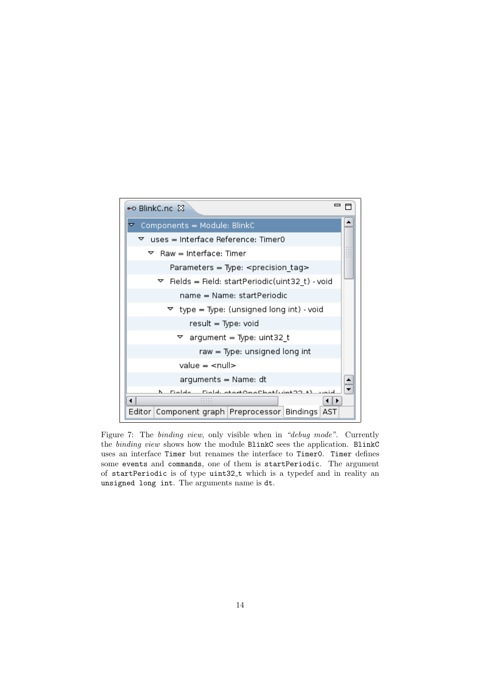![](_page_14_Figure_0.jpeg)

Figure 7: The binding view, only visible when in "debug mode". Currently the binding view shows how the module BlinkC sees the application. BlinkC uses an interface Timer but renames the interface to Timer0. Timer defines some events and commands, one of them is startPeriodic. The argument of startPeriodic is of type uint32 t which is a typedef and in reality an unsigned long int. The arguments name is dt.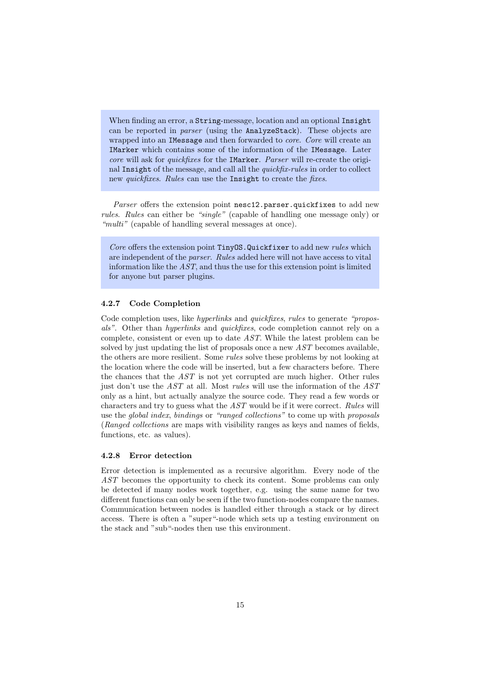When finding an error, a String-message, location and an optional Insight can be reported in parser (using the AnalyzeStack). These objects are wrapped into an IMessage and then forwarded to core. Core will create an IMarker which contains some of the information of the IMessage. Later core will ask for quickfixes for the IMarker. Parser will re-create the original Insight of the message, and call all the *quickfix-rules* in order to collect new *quickfixes.* Rules can use the Insight to create the *fixes*.

Parser offers the extension point nesc12.parser.quickfixes to add new rules. Rules can either be "single" (capable of handling one message only) or "multi" (capable of handling several messages at once).

Core offers the extension point TinyOS.Quickfixer to add new rules which are independent of the parser. Rules added here will not have access to vital information like the AST, and thus the use for this extension point is limited for anyone but parser plugins.

#### 4.2.7 Code Completion

Code completion uses, like *hyperlinks* and *quickfixes*, *rules* to generate "proposals". Other than hyperlinks and quickfixes, code completion cannot rely on a complete, consistent or even up to date AST. While the latest problem can be solved by just updating the list of proposals once a new AST becomes available, the others are more resilient. Some *rules* solve these problems by not looking at the location where the code will be inserted, but a few characters before. There the chances that the  $AST$  is not yet corrupted are much higher. Other rules just don't use the AST at all. Most rules will use the information of the AST only as a hint, but actually analyze the source code. They read a few words or characters and try to guess what the  $AST$  would be if it were correct. Rules will use the *global index, bindings* or "ranged collections" to come up with proposals (Ranged collections are maps with visibility ranges as keys and names of fields, functions, etc. as values).

#### 4.2.8 Error detection

Error detection is implemented as a recursive algorithm. Every node of the AST becomes the opportunity to check its content. Some problems can only be detected if many nodes work together, e.g. using the same name for two different functions can only be seen if the two function-nodes compare the names. Communication between nodes is handled either through a stack or by direct access. There is often a "super"-node which sets up a testing environment on the stack and "sub"-nodes then use this environment.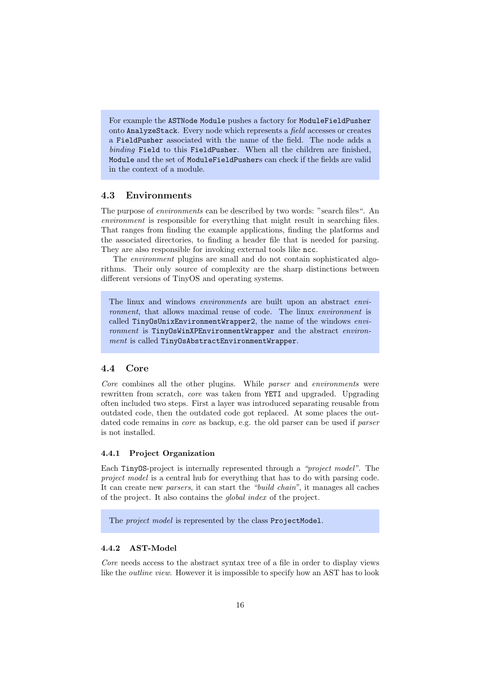For example the ASTNode Module pushes a factory for ModuleFieldPusher onto AnalyzeStack. Every node which represents a field accesses or creates a FieldPusher associated with the name of the field. The node adds a binding Field to this FieldPusher. When all the children are finished, Module and the set of ModuleFieldPushers can check if the fields are valid in the context of a module.

## 4.3 Environments

The purpose of *environments* can be described by two words: "search files". An environment is responsible for everything that might result in searching files. That ranges from finding the example applications, finding the platforms and the associated directories, to finding a header file that is needed for parsing. They are also responsible for invoking external tools like ncc.

The environment plugins are small and do not contain sophisticated algorithms. Their only source of complexity are the sharp distinctions between different versions of TinyOS and operating systems.

The linux and windows *environments* are built upon an abstract *envi*ronment, that allows maximal reuse of code. The linux environment is called TinyOsUnixEnvironmentWrapper2, the name of the windows environment is TinyOsWinXPEnvironmentWrapper and the abstract environment is called TinyOsAbstractEnvironmentWrapper.

## 4.4 Core

Core combines all the other plugins. While parser and environments were rewritten from scratch, core was taken from YETI and upgraded. Upgrading often included two steps. First a layer was introduced separating reusable from outdated code, then the outdated code got replaced. At some places the outdated code remains in *core* as backup, e.g. the old parser can be used if *parser* is not installed.

#### 4.4.1 Project Organization

Each TinyOS-project is internally represented through a "project model". The project model is a central hub for everything that has to do with parsing code. It can create new parsers, it can start the "build chain", it manages all caches of the project. It also contains the global index of the project.

The *project model* is represented by the class ProjectModel.

## 4.4.2 AST-Model

Core needs access to the abstract syntax tree of a file in order to display views like the outline view. However it is impossible to specify how an AST has to look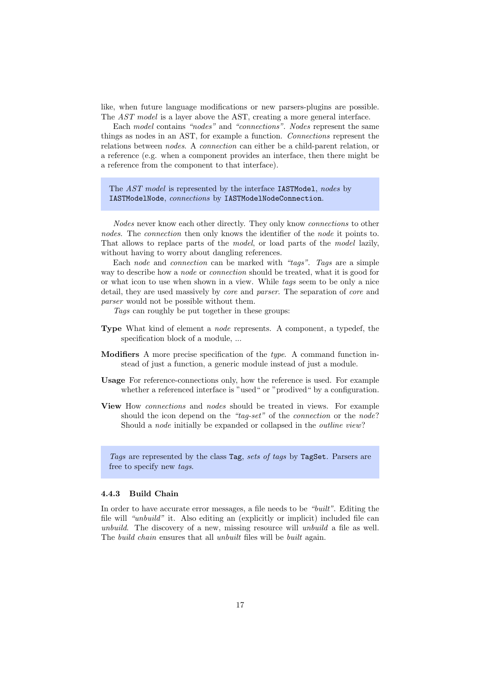like, when future language modifications or new parsers-plugins are possible. The AST model is a layer above the AST, creating a more general interface.

Each model contains "nodes" and "connections". Nodes represent the same things as nodes in an AST, for example a function. Connections represent the relations between *nodes*. A *connection* can either be a child-parent relation, or a reference (e.g. when a component provides an interface, then there might be a reference from the component to that interface).

The *AST model* is represented by the interface **IASTModel**, nodes by IASTModelNode, connections by IASTModelNodeConnection.

Nodes never know each other directly. They only know connections to other nodes. The *connection* then only knows the identifier of the *node* it points to. That allows to replace parts of the model, or load parts of the model lazily, without having to worry about dangling references.

Each node and connection can be marked with "tags". Tags are a simple way to describe how a *node* or *connection* should be treated, what it is good for or what icon to use when shown in a view. While tags seem to be only a nice detail, they are used massively by *core* and *parser*. The separation of *core* and parser would not be possible without them.

Tags can roughly be put together in these groups:

- Type What kind of element a node represents. A component, a typedef, the specification block of a module, ...
- Modifiers A more precise specification of the type. A command function instead of just a function, a generic module instead of just a module.
- Usage For reference-connections only, how the reference is used. For example whether a referenced interface is "used" or "prodived" by a configuration.
- View How connections and nodes should be treated in views. For example should the icon depend on the "tag-set" of the *connection* or the *node*? Should a node initially be expanded or collapsed in the outline view?

Tags are represented by the class Tag, sets of tags by TagSet. Parsers are free to specify new tags.

#### 4.4.3 Build Chain

In order to have accurate error messages, a file needs to be "built". Editing the file will "unbuild" it. Also editing an (explicitly or implicit) included file can unbuild. The discovery of a new, missing resource will unbuild a file as well. The *build chain* ensures that all *unbuilt* files will be *built* again.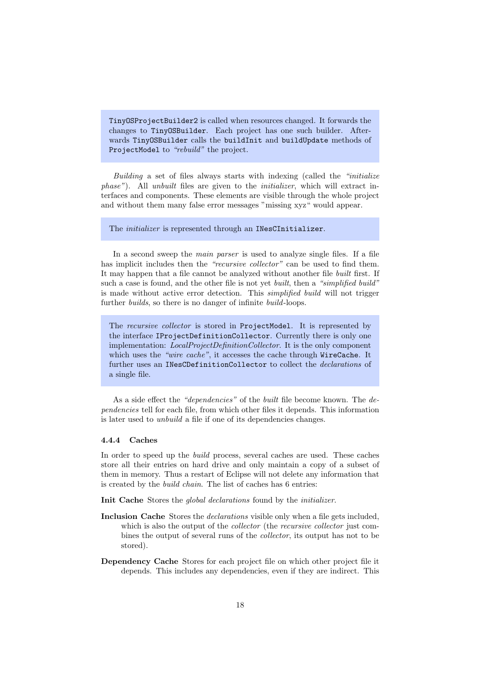TinyOSProjectBuilder2 is called when resources changed. It forwards the changes to TinyOSBuilder. Each project has one such builder. Afterwards TinyOSBuilder calls the buildInit and buildUpdate methods of ProjectModel to "rebuild" the project.

Building a set of files always starts with indexing (called the "initialize" phase"). All unbuilt files are given to the initializer, which will extract interfaces and components. These elements are visible through the whole project and without them many false error messages "missing xyz" would appear.

#### The *initializer* is represented through an INesCInitializer.

In a second sweep the *main parser* is used to analyze single files. If a file has implicit includes then the "recursive collector" can be used to find them. It may happen that a file cannot be analyzed without another file built first. If such a case is found, and the other file is not yet *built*, then a "simplified build" is made without active error detection. This *simplified build* will not trigger further *builds*, so there is no danger of infinite *build*-loops.

The recursive collector is stored in ProjectModel. It is represented by the interface IProjectDefinitionCollector. Currently there is only one implementation: LocalProjectDefinitionCollector. It is the only component which uses the "wire cache", it accesses the cache through WireCache. It further uses an INesCDefinitionCollector to collect the declarations of a single file.

As a side effect the "dependencies" of the built file become known. The dependencies tell for each file, from which other files it depends. This information is later used to unbuild a file if one of its dependencies changes.

#### 4.4.4 Caches

In order to speed up the build process, several caches are used. These caches store all their entries on hard drive and only maintain a copy of a subset of them in memory. Thus a restart of Eclipse will not delete any information that is created by the build chain. The list of caches has 6 entries:

Init Cache Stores the *global declarations* found by the *initializer*.

- Inclusion Cache Stores the *declarations* visible only when a file gets included, which is also the output of the *collector* (the *recursive collector* just combines the output of several runs of the collector, its output has not to be stored).
- Dependency Cache Stores for each project file on which other project file it depends. This includes any dependencies, even if they are indirect. This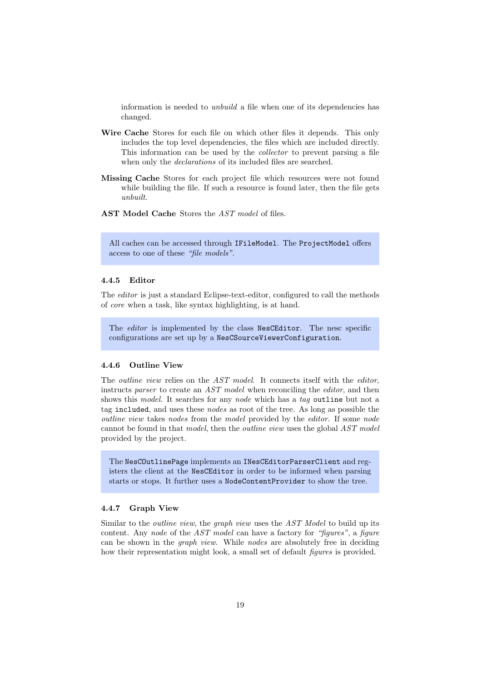information is needed to unbuild a file when one of its dependencies has changed.

- Wire Cache Stores for each file on which other files it depends. This only includes the top level dependencies, the files which are included directly. This information can be used by the collector to prevent parsing a file when only the *declarations* of its included files are searched.
- Missing Cache Stores for each project file which resources were not found while building the file. If such a resource is found later, then the file gets unbuilt.
- AST Model Cache Stores the AST model of files.

All caches can be accessed through IFileModel. The ProjectModel offers access to one of these "file models".

#### 4.4.5 Editor

The editor is just a standard Eclipse-text-editor, configured to call the methods of core when a task, like syntax highlighting, is at hand.

The *editor* is implemented by the class NesCEditor. The nesc specific configurations are set up by a NesCSourceViewerConfiguration.

#### 4.4.6 Outline View

The *outline view* relies on the AST model. It connects itself with the *editor*, instructs parser to create an AST model when reconciling the editor, and then shows this *model*. It searches for any *node* which has a tag outline but not a tag included, and uses these nodes as root of the tree. As long as possible the outline view takes nodes from the model provided by the editor. If some node cannot be found in that model, then the *outline view* uses the global AST model provided by the project.

The NesCOutlinePage implements an INesCEditorParserClient and registers the client at the NesCEditor in order to be informed when parsing starts or stops. It further uses a NodeContentProvider to show the tree.

#### 4.4.7 Graph View

Similar to the *outline view*, the *graph view* uses the AST Model to build up its content. Any node of the AST model can have a factory for "figures", a figure can be shown in the *graph view*. While *nodes* are absolutely free in deciding how their representation might look, a small set of default *figures* is provided.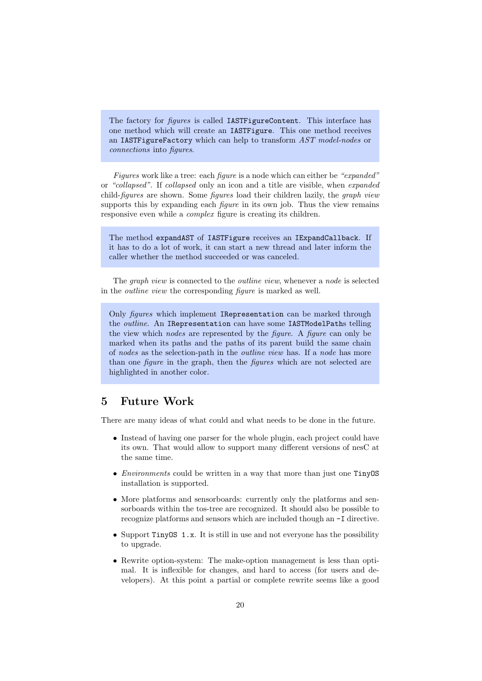The factory for *figures* is called **IASTFigureContent**. This interface has one method which will create an IASTFigure. This one method receives an IASTFigureFactory which can help to transform AST model-nodes or connections into figures.

Figures work like a tree: each *figure* is a node which can either be "expanded" or "collapsed". If collapsed only an icon and a title are visible, when expanded child-figures are shown. Some figures load their children lazily, the graph view supports this by expanding each *figure* in its own job. Thus the view remains responsive even while a *complex* figure is creating its children.

The method expandAST of IASTFigure receives an IExpandCallback. If it has to do a lot of work, it can start a new thread and later inform the caller whether the method succeeded or was canceled.

The *graph view* is connected to the *outline view*, whenever a *node* is selected in the outline view the corresponding figure is marked as well.

Only figures which implement IRepresentation can be marked through the outline. An IRepresentation can have some IASTModelPaths telling the view which nodes are represented by the figure. A figure can only be marked when its paths and the paths of its parent build the same chain of nodes as the selection-path in the outline view has. If a node has more than one figure in the graph, then the figures which are not selected are highlighted in another color.

# 5 Future Work

There are many ideas of what could and what needs to be done in the future.

- Instead of having one parser for the whole plugin, each project could have its own. That would allow to support many different versions of nesC at the same time.
- *Environments* could be written in a way that more than just one TinyOS installation is supported.
- More platforms and sensorboards: currently only the platforms and sensorboards within the tos-tree are recognized. It should also be possible to recognize platforms and sensors which are included though an -I directive.
- Support TinyOS 1.x. It is still in use and not everyone has the possibility to upgrade.
- Rewrite option-system: The make-option management is less than optimal. It is inflexible for changes, and hard to access (for users and developers). At this point a partial or complete rewrite seems like a good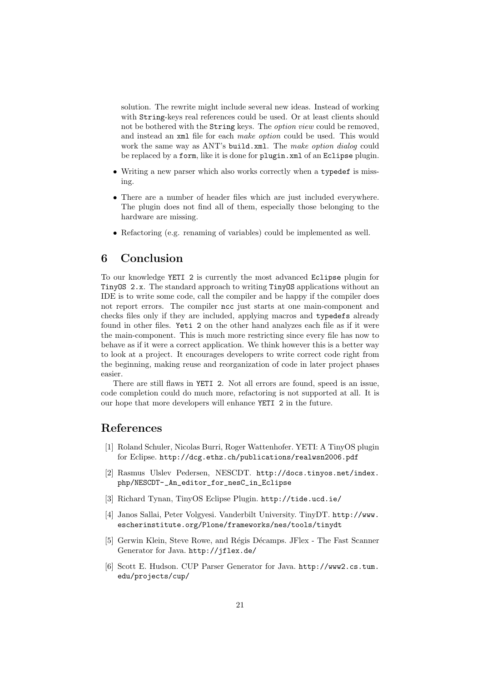solution. The rewrite might include several new ideas. Instead of working with String-keys real references could be used. Or at least clients should not be bothered with the String keys. The *option view* could be removed, and instead an xml file for each make option could be used. This would work the same way as ANT's build.xml. The make option dialog could be replaced by a form, like it is done for plugin.xml of an Eclipse plugin.

- Writing a new parser which also works correctly when a typedef is missing.
- There are a number of header files which are just included everywhere. The plugin does not find all of them, especially those belonging to the hardware are missing.
- Refactoring (e.g. renaming of variables) could be implemented as well.

# 6 Conclusion

To our knowledge YETI 2 is currently the most advanced Eclipse plugin for TinyOS 2.x. The standard approach to writing TinyOS applications without an IDE is to write some code, call the compiler and be happy if the compiler does not report errors. The compiler ncc just starts at one main-component and checks files only if they are included, applying macros and typedefs already found in other files. Yeti 2 on the other hand analyzes each file as if it were the main-component. This is much more restricting since every file has now to behave as if it were a correct application. We think however this is a better way to look at a project. It encourages developers to write correct code right from the beginning, making reuse and reorganization of code in later project phases easier.

There are still flaws in YETI 2. Not all errors are found, speed is an issue, code completion could do much more, refactoring is not supported at all. It is our hope that more developers will enhance YETI 2 in the future.

# References

- [1] Roland Schuler, Nicolas Burri, Roger Wattenhofer. YETI: A TinyOS plugin for Eclipse. http://dcg.ethz.ch/publications/realwsn2006.pdf
- [2] Rasmus Ulslev Pedersen, NESCDT. http://docs.tinyos.net/index. php/NESCDT-\_An\_editor\_for\_nesC\_in\_Eclipse
- [3] Richard Tynan, TinyOS Eclipse Plugin. http://tide.ucd.ie/
- [4] Janos Sallai, Peter Volgyesi. Vanderbilt University. TinyDT. http://www. escherinstitute.org/Plone/frameworks/nes/tools/tinydt
- [5] Gerwin Klein, Steve Rowe, and Régis Décamps. JFlex The Fast Scanner Generator for Java. http://jflex.de/
- [6] Scott E. Hudson. CUP Parser Generator for Java. http://www2.cs.tum. edu/projects/cup/